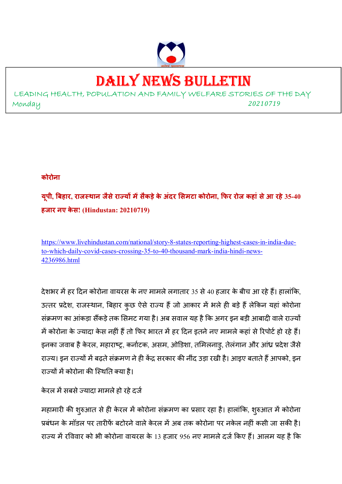

## DAILY NEWS BULLETIN

LEADING HEALTH, POPULATION AND FAMILY WELFARE STORIES OF THE DAY Monday *<sup>20210719</sup>*

**कोरोना** 

**यूपी, बहार, राजथान जैसेराय मसैकड़ेके अंदर समटा कोरोना, फर रोज कहां सेआ रहे 35-40 हजार नए के स! (Hindustan: 20210719)** 

https://www.livehindustan.com/national/story-8-states-reporting-highest-cases-in-india-dueto-which-daily-covid-cases-crossing-35-to-40-thousand-mark-india-hindi-news-4236986.html

देशभर में हर दिन कोरोना वायरस के नए मामले लगातार 35 से 40 हजार के बीच आ रहे हैं। हालांकि, उत्तर प्रदेश, राजस्थान, बिहार कुछ ऐसे राज्य हैं जो आकार में भले ही बड़े हैं लेकिन यहां कोरोना संक्रमण का आंकड़ा सैंकड़े तक सिमट गया है। अब सवाल यह है कि अगर इन बड़ी आबादी वाले राज्यों में कोरोना के ज्यादा केस नहीं है तो फिर भारत में हर दिन इतने नए मामले कहा से रिपोर्ट हो रहे हैं। इनका जवाब है केरल, महाराष्ट्र, कर्नाटक, असम, ओडिशा, तमिलनाडू, तेलंगान और आंध्र प्रदेश जैसे राज्य। इन राज्यों में बढ़ते संक्रमण ने ही केंद्र सरकार की नींद उड़ा रखी है। आइए बताते हैं आपको, इन राज्यों में कोरोना की स्थिति क्या है।

केरल में सबसे ज्यादा मामले हो रहे दर्ज

महामारी की शुरुआत से ही केरल में कोरोना संक्रमण का प्रसार रहा है। हालांकि, शुरुआत में कोरोना प्रबंधन के मॉडल पर तारीफें बटोरने वाले केरल में अब तक कोरोना पर नकेल नहीं कसी जा सकी है। राज्य में रविवार को भी कोरोना वायरस के 13 हजार 956 नए मामले दर्ज किए हैं। आलम यह है कि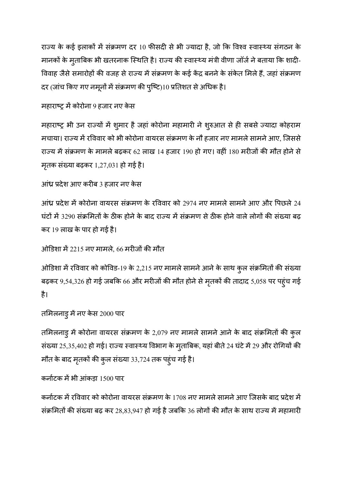राज्य के कई इलाकों में संक्रमण दर 10 फीसदी से भी ज्यादा है, जो कि विश्व स्वास्थ्य संगठन के मानकों के मुताबिक भी खतरनाक स्थिति है। राज्य की स्वास्थ्य मंत्री वीणा जॉर्ज ने बताया कि शादी-विवाह जैसे समारोहों की वजह से राज्य में संक्रमण के कई केंद्र बनने के संकेत मिले हैं, जहां संक्रमण दर (जांच किए गए नमूनों में संक्रमण की पुष्टि)10 प्रतिशत से अधिक है।

#### महाराष्ट्र में कोरोना 9 हजार नए केस

महाराष्ट्र भी उन राज्यों में शुमार है जहां कोरोना महामारी ने शुरुआत से ही सबसे ज्यादा कोहराम मचाया। राज्य में रविवार को भी कोरोना वायरस संक्रमण के नौ हजार नए मामले सामने आए, जिससे राज्य में संक्रमण के मामले बढ़कर 62 लाख 14 हजार 190 हो गए। वहीं 180 मरीजों की मौत होने से मृतक संख्या बढ़कर 1,27,031 हो गई है।

```
आंध्र प्रदेश आए करीब 3 हजार नए केस
```
आंध्र प्रदेश में कोरोना वायरस संक्रमण के रविवार को 2974 नए मामले सामने आए और पिछले 24 घंटों में 3290 संक्रमितों के ठीक होने के बाद राज्य में संक्रमण से ठीक होने वाले लोगों की संख्या बढ़ कर 19 लाख के पार हो गई है।

ओडिशा में 2215 नए मामले, 66 मरीजों की मौत

ओडिशा में रविवार को कोविड-19 के 2,215 नए मामले सामने आने के साथ कुल संक्रमितों की संख्या बढ़कर 9,54,326 हो गई जबकि 66 और मरीजों की मौत होने से मृतकों की तादाद 5,058 पर पहुंच गई है।

```
तमिलनाडु में नए केस 2000 पार
```
तमिलनाडु में कोरोना वायरस संक्रमण के 2,079 नए मामले सामने आने के बाद संक्रमितों की कुल संख्या 25,35,402 हो गई। राज्य स्वास्थ्य विभाग के मुताबिक, यहां बीते 24 घंटे में 29 और रोगियों की मौत के बाद मृतकों की कुल संख्या 33,724 तक पहुंच गई है।

```
कर्नाटक में भी आंकड़ा 1500 पार
```
कर्नाटक में रविवार को कोरोना वायरस संक्रमण के 1708 नए मामले सामने आए जिसके बाद प्रदेश में संक्रमितों की संख्या बढ़ कर 28,83,947 हो गई है जबकि 36 लोगों की मौत के साथ राज्य में महामारी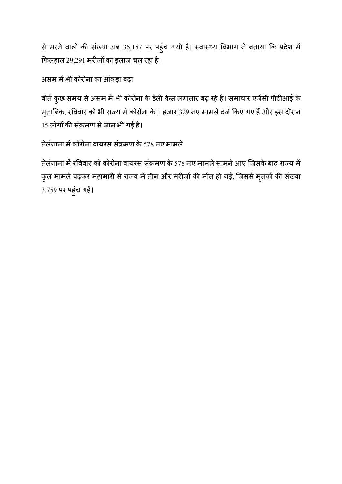से मरने वालों की संख्या अब 36,157 पर पहुंच गयी है। स्वास्थ्य विभाग ने बताया कि प्रदेश में फिलहाल 29,291 मरीजों का इलाज चल रहा है।

असम में भी कोरोना का आंकड़ा बढ़ा

बीते कुछ समय से असम में भी कोरोना के डेली केस लगातार बढ़ रहे हैं। समाचार एजेंसी पीटीआई के मुताबिक, रविवार को भी राज्य में कोरोना के 1 हजार 329 नए मामले दर्ज किए गए हैं और इस दौरान 15 लोगों की संक्रमण से जान भी गई है।

तेलंगाना में कोरोना वायरस संक्रमण के 578 नए मामले

तेलंगाना में रविवार को कोरोना वायरस संक्रमण के 578 नए मामले सामने आए जिसके बाद राज्य में कुल मामले बढ़कर महामारी से राज्य में तीन और मरीजों की मौत हो गई, जिससे मृतकों की संख्या 3,759 पर पहुंच गई।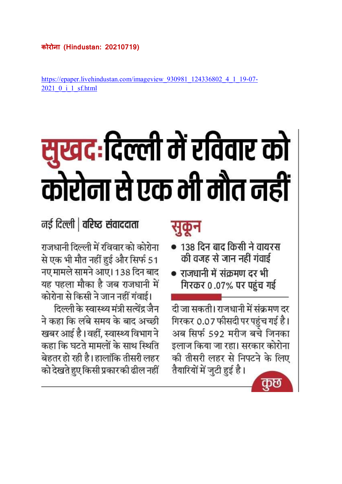https://epaper.livehindustan.com/imageview\_930981\_124336802\_4\_1\_19-07- 2021\_0\_i\_1\_sf.html

# सुखदःदिल्ली में रविवार को कोरोना से एक भी मौत नहीं

### नई दिल्ली | वरिष्ठ संवाददाता

राजधानी दिल्ली में रविवार को कोरोना से एक भी मौत नहीं हुई और सिर्फ 51 नए मामले सामने आए। 138 दिन बाद यह पहला मौका है जब राजधानी में कोरोना से किसी ने जान नहीं गंवाई।

दिल्ली के स्वास्थ्य मंत्री सत्येंद्र जैन ने कहा कि लंबे समय के बाद अच्छी खबर आई है। वहीं, स्वास्थ्य विभाग ने कहा कि घटते मामलों के साथ स्थिति बेहतर हो रही है। हालांकि तीसरी लहर को देखते हुए किसी प्रकार की ढील नहीं

## सकन

- 138 दिन बाद किसी ने वायरस की वजह से जान नहीं गंवाई
- राजधानी में संक्रमण दर भी गिरकर 0.07% पर पहुंच गई

दी जा सकती। राजधानी में संक्रमण दर गिरकर 0.07 फीसदी पर पहुंच गई है। अब सिर्फ 592 मरीज बचे जिनका इलाज किया जा रहा। सरकार कोरोना की तीसरी लहर से निपटने के लिए तैयारियों में जुटी हुई है।

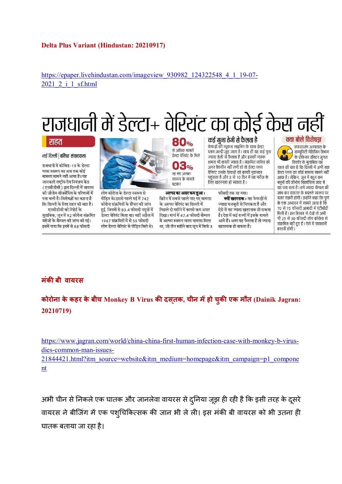#### **Delta Plus Variant (Hindustan: 20210917)**

https://epaper.livehindustan.com/imageview\_930982\_124322548\_4\_1\_19-07- 2021 2 i 1 sf.html

## राजधानी में डेल्टा+ वेरियंट का कोई केस न

#### राहत

#### नई दिल्ली | वरिष्ट संवाददाता

राजधानी में कोविड-19 के डेल्टा प्लस स्वरूप का अब तक कोई मामला सामने नहीं आया है। यह जानकारी राष्टीय रोग नियंत्रण केंद्र (एनसीडीसी) द्वारा दिल्ली में वायरस की जीनोम सीक्वेंसिंग के परिणामों में पता चली है। विशेषज्ञों का कहना है कि दिल्ली के लिए राहत की बात है। एनसीडीसी की रिपोर्ट के

मुताबिक, जून में 92 कोरोना संक्रमित मरीजों के सैम्पल की जांच की गई। इसमें पाया कि इनमें से 88 फीसदी



लोग कोरोना के डेल्टा स्वरूप से पीड़ित थे। इससे पहले मई में 742 कोरोना संक्रमितों के सैंपल की जांच हुई, जिसमें से 83.4 फीसदी नमनों में डेल्टा वेरियंट मिला था। वहीं अप्रैल में 1967 संक्रमितों में से 55 फीसदी लोग डेल्टा वेरियंट से पीड़ित मिले थे।

**80%** से अधिक मामले .<br>डेल्टा वेरियंट के मिले **03%** रह गए अल्फा स्वरूप के मामले घटकर

अल्फा का असर कम हुआ : ब्रिटेन में सबसे पहले पाए गए वायरस .<br>के अल्फा वेरियंट का दिल्ली में पिछले दो महीने में काफी कम असर दिखा। मार्च में 47.4 फीसदी सैम्पल में अल्फा स्वरूप वाला वायरस मिला था, जो तीन महीने बाद जून में सिर्फ 3

कई गुना तेजी से फैलता है फेफड़ों की म्यूकस लाइनिंग के साथ डेल्टा प्लस जल्दी जुड़ जाता है। साथ ही यह कई गुना ज्यादा तेजी से फैलता है और इसकी मास्क क्षमता भी काफी ज्यादा है । संक्रमित व्यक्ति को अगर वैक्सीन नहीं लगी हो तो डेल्टा प्लस वैरिएंट उसके फेफड़ों को काफी नुकसान पहुंचाता है और 3 से 10 दिन में यह मरीज के

लिए खतरनाक हो सकता है।

फीसदी तक रह गया। क्यों खतरनाक : यह फेफड़ों से .<br>ज्यादा मजबती से चिपकता है और ऐसे में यह ज्यादा खतरनाक हो सकता है। देश में कई राज्यों में इसके मामले

आये हैं। अगर यह फैलता है तो ज्यादा

खतरनाक हो सकता है।

क्या बोले विशेषज्ञ

सफदरजंग अस्पताल के कम्यूनिटी मेडिसिन विभाग के प्रोफेसर डॉक्टर जगल किशोर के मुताबिक यह राहत की बात है कि दिल्ली में अभी तक डेल्टा प्लस का कोई मामला सामने नहीं आया है । लेकिन, जून में बहुत कम नमनों की जीनोम सिक्वेंसिंग जांच में यह पता चला है । हमें ज्यादा सैम्पल की .<br>जांच कर वायरस के बदलते स्वरूप पर नजर रखनी होगी। उन्होंने कहा कि पुणे के एक अध्ययन में सामने आया है कि 70 से 75 फीसदी आबादी में एंटीबॉडी मिली हैं । इस हिसाब से देखें तो अभी संक्रमित नहीं हुए हैं। ऐसे में सावधानी

बरतनी होगी।

#### **मंकी बी वायरस**

**कोरोना के कहर के बीच Monkey B Virus क2 दसतक् , चीन महो चुक2 एक मौत (Dainik Jagran: 20210719)** 

https://www.jagran.com/world/china-china-first-human-infection-case-with-monkey-b-virusdies-common-man-issues-21844421.html?itm\_source=website&itm\_medium=homepage&itm\_campaign=p1\_compone nt

अभी चीन से निकले एक घातक और जानलेवा वायरस से दुनिया जूझ ही रही है कि इसी तरह के दूसरे वायरस ने बीजिंग में एक पश्चिकित्सक की जान भी ले ली। इस मंकी बी वायरस को भी उतना ही घातक बताया जा रहा है।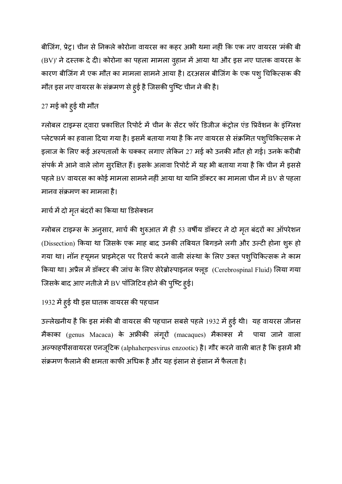बीजिंग, प्रेट्र। चीन से निकले कोरोना वायरस का कहर अभी थमा नहीं कि एक नए वायरस 'मंकी बी (BV)' ने दस्तक दे दी। कोरोना का पहला मामला व्**हान में आया था और इस नए घातक वायरस** के कारण बीजिंग में एक मौत का मामला सामने आया है। दरअसल बीजिंग के एक पशु चिकित्सक की मौत इस नए वायरस के संक्रमण से हुई है जिसकी पुष्टि चीन ने की है।

#### 27 मई को हुई थी मौत

ग्लोबल टाइम्स दवारा प्रकाशित रिपोर्ट में चीन के सेंटर फॉर डिजीज कंट्रोल एंड प्रिवेंशन के इंग्लिश प्लेटफार्म का हवाला दिया गया है। इसमे बताया गया है कि नए वायरस से सक्रमित पशुचिकित्सक ने ' इलाज के लिए कई अस्पतालों के चक्कर लगाए लेकिन 27 मई को उनकी मौत हो गई। उनके करीबी संपर्क में आने वाले लोग सुरक्षित हैं। इसके अलावा रिपोर्ट में यह भी बताया गया है कि चीन में इससे पहले BV वायरस का कोई मामला सामने नहीं आया था यानि डॉक्टर का मामला चीन में BV से पहला मानव संक्रमण का मामला है।

#### मार्च में दो मृत बंदरों का किया था डिसेक्शन

ग्लोबल टाइम्स के अनुसार, मार्च की शुरुआत में ही 53 वर्षीय डॉक्टर ने दो मृत बंदरों का ऑपरेशन (Dissection) किया था जिसके एक माह बाद उनकी तबियत बिगड़ने लगी और उल्टी होना शुरू हो गया था। नॉन हयूमन प्राइमेट्स पर रिसर्च करने वाली संस्था के लिए उक्त पशुचिकित्सक ने काम किया था। अप्रैल में डॉक्टर की जांच के लिए सेरेब्रोस्पाइनल फ्लूड (Cerebrospinal Fluid) लिया गया जिसके बाद आए नतीजे में BV पॉजिटिव होने की पुष्टि हुई।

#### 1932 में हुई थी इस घातक वायरस की पहचान

उल्लेखनीय है कि इस मंकी बी वायरस की पहचान सबसे पहले 1932 में हुई थी। यह वायरस जीनस मैकाका (genus Macaca) के अफ्रीकी लंगूरों (macaques) मैकाक्स में पाया जाने वाला अल्फाहपीसवायरस एनजूटिक (alphaherpesvirus enzootic) है। गौर करने वाली बात है कि इसमें भी संक्रमण फैलाने की क्षमता काफी अधिक है और यह इंसान से इंसान में फैलता है।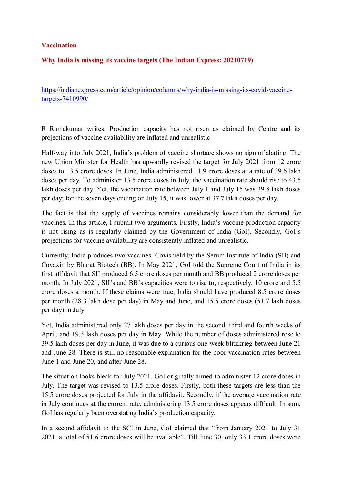#### **Vaccination**

#### **Why India is missing its vaccine targets (The Indian Express: 20210719)**

https://indianexpress.com/article/opinion/columns/why-india-is-missing-its-covid-vaccinetargets-7410990/

R Ramakumar writes: Production capacity has not risen as claimed by Centre and its projections of vaccine availability are inflated and unrealistic

Half-way into July 2021, India's problem of vaccine shortage shows no sign of abating. The new Union Minister for Health has upwardly revised the target for July 2021 from 12 crore doses to 13.5 crore doses. In June, India administered 11.9 crore doses at a rate of 39.6 lakh doses per day. To administer 13.5 crore doses in July, the vaccination rate should rise to 43.5 lakh doses per day. Yet, the vaccination rate between July 1 and July 15 was 39.8 lakh doses per day; for the seven days ending on July 15, it was lower at 37.7 lakh doses per day.

The fact is that the supply of vaccines remains considerably lower than the demand for vaccines. In this article, I submit two arguments. Firstly, India's vaccine production capacity is not rising as is regularly claimed by the Government of India (GoI). Secondly, GoI's projections for vaccine availability are consistently inflated and unrealistic.

Currently, India produces two vaccines: Covishield by the Serum Institute of India (SII) and Covaxin by Bharat Biotech (BB). In May 2021, GoI told the Supreme Court of India in its first affidavit that SII produced 6.5 crore doses per month and BB produced 2 crore doses per month. In July 2021, SII's and BB's capacities were to rise to, respectively, 10 crore and 5.5 crore doses a month. If these claims were true, India should have produced 8.5 crore doses per month (28.3 lakh dose per day) in May and June, and 15.5 crore doses (51.7 lakh doses per day) in July.

Yet, India administered only 27 lakh doses per day in the second, third and fourth weeks of April, and 19.3 lakh doses per day in May. While the number of doses administered rose to 39.5 lakh doses per day in June, it was due to a curious one-week blitzkrieg between June 21 and June 28. There is still no reasonable explanation for the poor vaccination rates between June 1 and June 20, and after June 28.

The situation looks bleak for July 2021. GoI originally aimed to administer 12 crore doses in July. The target was revised to 13.5 crore doses. Firstly, both these targets are less than the 15.5 crore doses projected for July in the affidavit. Secondly, if the average vaccination rate in July continues at the current rate, administering 13.5 crore doses appears difficult. In sum, GoI has regularly been overstating India's production capacity.

In a second affidavit to the SCI in June, GoI claimed that "from January 2021 to July 31 2021, a total of 51.6 crore doses will be available". Till June 30, only 33.1 crore doses were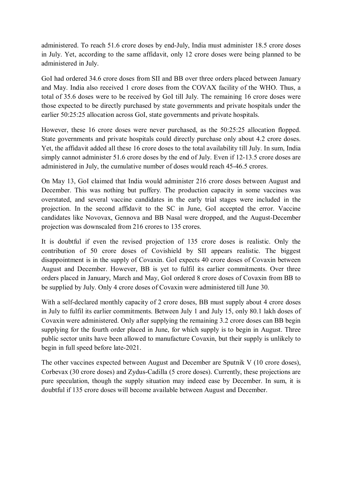administered. To reach 51.6 crore doses by end-July, India must administer 18.5 crore doses in July. Yet, according to the same affidavit, only 12 crore doses were being planned to be administered in July.

GoI had ordered 34.6 crore doses from SII and BB over three orders placed between January and May. India also received 1 crore doses from the COVAX facility of the WHO. Thus, a total of 35.6 doses were to be received by GoI till July. The remaining 16 crore doses were those expected to be directly purchased by state governments and private hospitals under the earlier 50:25:25 allocation across GoI, state governments and private hospitals.

However, these 16 crore doses were never purchased, as the 50:25:25 allocation flopped. State governments and private hospitals could directly purchase only about 4.2 crore doses. Yet, the affidavit added all these 16 crore doses to the total availability till July. In sum, India simply cannot administer 51.6 crore doses by the end of July. Even if 12-13.5 crore doses are administered in July, the cumulative number of doses would reach 45-46.5 crores.

On May 13, GoI claimed that India would administer 216 crore doses between August and December. This was nothing but puffery. The production capacity in some vaccines was overstated, and several vaccine candidates in the early trial stages were included in the projection. In the second affidavit to the SC in June, GoI accepted the error. Vaccine candidates like Novovax, Gennova and BB Nasal were dropped, and the August-December projection was downscaled from 216 crores to 135 crores.

It is doubtful if even the revised projection of 135 crore doses is realistic. Only the contribution of 50 crore doses of Covishield by SII appears realistic. The biggest disappointment is in the supply of Covaxin. GoI expects 40 crore doses of Covaxin between August and December. However, BB is yet to fulfil its earlier commitments. Over three orders placed in January, March and May, GoI ordered 8 crore doses of Covaxin from BB to be supplied by July. Only 4 crore doses of Covaxin were administered till June 30.

With a self-declared monthly capacity of 2 crore doses, BB must supply about 4 crore doses in July to fulfil its earlier commitments. Between July 1 and July 15, only 80.1 lakh doses of Covaxin were administered. Only after supplying the remaining 3.2 crore doses can BB begin supplying for the fourth order placed in June, for which supply is to begin in August. Three public sector units have been allowed to manufacture Covaxin, but their supply is unlikely to begin in full speed before late-2021.

The other vaccines expected between August and December are Sputnik V (10 crore doses), Corbevax (30 crore doses) and Zydus-Cadilla (5 crore doses). Currently, these projections are pure speculation, though the supply situation may indeed ease by December. In sum, it is doubtful if 135 crore doses will become available between August and December.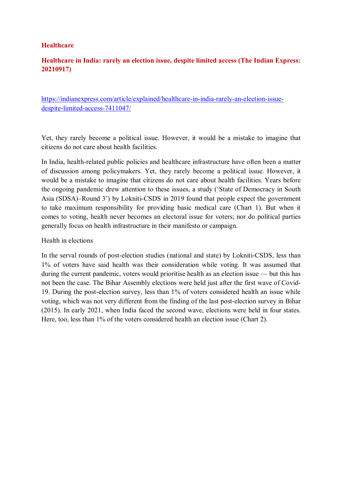#### **Healthcare**

#### **Healthcare in India: rarely an election issue, despite limited access (The Indian Express: 20210917)**

https://indianexpress.com/article/explained/healthcare-in-india-rarely-an-election-issuedespite-limited-access-7411047/

Yet, they rarely become a political issue. However, it would be a mistake to imagine that citizens do not care about health facilities.

In India, health-related public policies and healthcare infrastructure have often been a matter of discussion among policymakers. Yet, they rarely become a political issue. However, it would be a mistake to imagine that citizens do not care about health facilities. Years before the ongoing pandemic drew attention to these issues, a study ('State of Democracy in South Asia (SDSA)–Round 3') by Lokniti-CSDS in 2019 found that people expect the government to take maximum responsibility for providing basic medical care (Chart 1). But when it comes to voting, health never becomes an electoral issue for voters; nor do political parties generally focus on health infrastructure in their manifesto or campaign.

Health in elections

In the serval rounds of post-election studies (national and state) by Lokniti-CSDS, less than 1% of voters have said health was their consideration while voting. It was assumed that during the current pandemic, voters would prioritise health as an election issue — but this has not been the case. The Bihar Assembly elections were held just after the first wave of Covid-19. During the post-election survey, less than 1% of voters considered health an issue while voting, which was not very different from the finding of the last post-election survey in Bihar (2015). In early 2021, when India faced the second wave, elections were held in four states. Here, too, less than 1% of the voters considered health an election issue (Chart 2).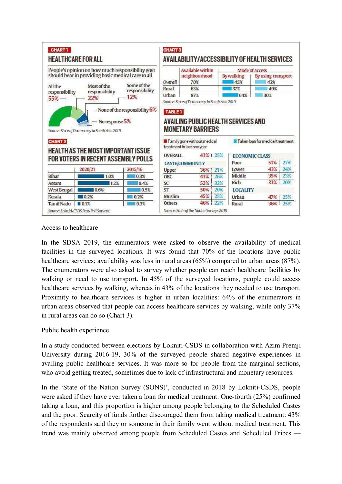| People's opinion on how much responsibility govt<br>should bear in providing basic medical care to all                     |                                     |         |                                                                                                                      | <b>Available within</b>       |                           | Mode of access                                            |     |  |
|----------------------------------------------------------------------------------------------------------------------------|-------------------------------------|---------|----------------------------------------------------------------------------------------------------------------------|-------------------------------|---------------------------|-----------------------------------------------------------|-----|--|
|                                                                                                                            |                                     | Overall | neighbourhood<br>70%                                                                                                 | <b>By walking</b><br>45%      | By using transport<br>43% |                                                           |     |  |
| Some of the<br>Most of the<br>All the<br>responsibility<br>responsibility<br>responsibility<br>12%<br>22%<br>$55\%$ $\neg$ |                                     | Rural   | 63%                                                                                                                  | 37%                           | 49%                       |                                                           |     |  |
|                                                                                                                            |                                     | Urban   | 87%                                                                                                                  | 64%                           | 30%                       |                                                           |     |  |
| Source: State of Democracy in South Asia 2019<br><b>CHART 2</b><br>HEALTH AS THE MOST IMPORTANT ISSUE                      |                                     |         | <b>MONETARY BARRIERS</b><br>Family gone without medical<br>treatment in last one year<br>43% + 25%<br><b>OVERALL</b> |                               |                           | Taken loan for medical treatment<br><b>ECONOMIC CLASS</b> |     |  |
|                                                                                                                            |                                     |         |                                                                                                                      |                               |                           |                                                           |     |  |
|                                                                                                                            | FOR VOTERS IN RECENT ASSEMBLY POLLS |         |                                                                                                                      |                               | Poor                      | $51\%$                                                    | 27% |  |
|                                                                                                                            | 2020/21                             | 2015/16 | Upper                                                                                                                | <b>CASTE/COMMUNITY</b><br>36% | <b>Lower</b><br>21%       | 43%                                                       | 24% |  |
|                                                                                                                            | 1.0%                                | 0.3%    | OBC                                                                                                                  | 43%                           | Middle<br>26%             | 35%                                                       | 23% |  |
|                                                                                                                            | 1.2%                                | 0.4%    | SC                                                                                                                   | 52%                           | Rich<br>32%               | 33%                                                       | 20% |  |
|                                                                                                                            | 0.6%                                | 0.5%    | ST                                                                                                                   | 50%                           | 20%<br><b>LOCALITY</b>    |                                                           |     |  |
| <b>Bihar</b><br>Assam<br><b>West Bengal</b><br>Kerala                                                                      | 10.2%                               | 0.2%    | Muslim                                                                                                               | 45%                           | 25%<br>Urban              | 47% 25%                                                   |     |  |

#### Access to healthcare

In the SDSA 2019, the enumerators were asked to observe the availability of medical facilities in the surveyed locations. It was found that 70% of the locations have public healthcare services; availability was less in rural areas (65%) compared to urban areas (87%). The enumerators were also asked to survey whether people can reach healthcare facilities by walking or need to use transport. In 45% of the surveyed locations, people could access healthcare services by walking, whereas in 43% of the locations they needed to use transport. Proximity to healthcare services is higher in urban localities: 64% of the enumerators in urban areas observed that people can access healthcare services by walking, while only 37% in rural areas can do so (Chart 3).

#### Public health experience

In a study conducted between elections by Lokniti-CSDS in collaboration with Azim Premji University during 2016-19, 30% of the surveyed people shared negative experiences in availing public healthcare services. It was more so for people from the marginal sections, who avoid getting treated, sometimes due to lack of infrastructural and monetary resources.

In the 'State of the Nation Survey (SONS)', conducted in 2018 by Lokniti-CSDS, people were asked if they have ever taken a loan for medical treatment. One-fourth (25%) confirmed taking a loan, and this proportion is higher among people belonging to the Scheduled Castes and the poor. Scarcity of funds further discouraged them from taking medical treatment: 43% of the respondents said they or someone in their family went without medical treatment. This trend was mainly observed among people from Scheduled Castes and Scheduled Tribes —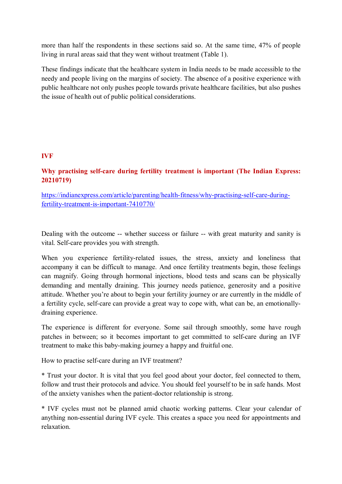more than half the respondents in these sections said so. At the same time, 47% of people living in rural areas said that they went without treatment (Table 1).

These findings indicate that the healthcare system in India needs to be made accessible to the needy and people living on the margins of society. The absence of a positive experience with public healthcare not only pushes people towards private healthcare facilities, but also pushes the issue of health out of public political considerations.

#### **IVF**

#### **Why practising self-care during fertility treatment is important (The Indian Express: 20210719)**

https://indianexpress.com/article/parenting/health-fitness/why-practising-self-care-duringfertility-treatment-is-important-7410770/

Dealing with the outcome -- whether success or failure -- with great maturity and sanity is vital. Self-care provides you with strength.

When you experience fertility-related issues, the stress, anxiety and loneliness that accompany it can be difficult to manage. And once fertility treatments begin, those feelings can magnify. Going through hormonal injections, blood tests and scans can be physically demanding and mentally draining. This journey needs patience, generosity and a positive attitude. Whether you're about to begin your fertility journey or are currently in the middle of a fertility cycle, self-care can provide a great way to cope with, what can be, an emotionallydraining experience.

The experience is different for everyone. Some sail through smoothly, some have rough patches in between; so it becomes important to get committed to self-care during an IVF treatment to make this baby-making journey a happy and fruitful one.

How to practise self-care during an IVF treatment?

\* Trust your doctor. It is vital that you feel good about your doctor, feel connected to them, follow and trust their protocols and advice. You should feel yourself to be in safe hands. Most of the anxiety vanishes when the patient-doctor relationship is strong.

\* IVF cycles must not be planned amid chaotic working patterns. Clear your calendar of anything non-essential during IVF cycle. This creates a space you need for appointments and relaxation.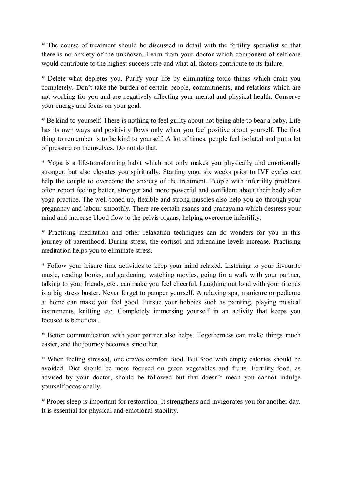\* The course of treatment should be discussed in detail with the fertility specialist so that there is no anxiety of the unknown. Learn from your doctor which component of self-care would contribute to the highest success rate and what all factors contribute to its failure.

\* Delete what depletes you. Purify your life by eliminating toxic things which drain you completely. Don't take the burden of certain people, commitments, and relations which are not working for you and are negatively affecting your mental and physical health. Conserve your energy and focus on your goal.

\* Be kind to yourself. There is nothing to feel guilty about not being able to bear a baby. Life has its own ways and positivity flows only when you feel positive about yourself. The first thing to remember is to be kind to yourself. A lot of times, people feel isolated and put a lot of pressure on themselves. Do not do that.

\* Yoga is a life-transforming habit which not only makes you physically and emotionally stronger, but also elevates you spiritually. Starting yoga six weeks prior to IVF cycles can help the couple to overcome the anxiety of the treatment. People with infertility problems often report feeling better, stronger and more powerful and confident about their body after yoga practice. The well-toned up, flexible and strong muscles also help you go through your pregnancy and labour smoothly. There are certain asanas and pranayama which destress your mind and increase blood flow to the pelvis organs, helping overcome infertility.

\* Practising meditation and other relaxation techniques can do wonders for you in this journey of parenthood. During stress, the cortisol and adrenaline levels increase. Practising meditation helps you to eliminate stress.

\* Follow your leisure time activities to keep your mind relaxed. Listening to your favourite music, reading books, and gardening, watching movies, going for a walk with your partner, talking to your friends, etc., can make you feel cheerful. Laughing out loud with your friends is a big stress buster. Never forget to pamper yourself. A relaxing spa, manicure or pedicure at home can make you feel good. Pursue your hobbies such as painting, playing musical instruments, knitting etc. Completely immersing yourself in an activity that keeps you focused is beneficial.

\* Better communication with your partner also helps. Togetherness can make things much easier, and the journey becomes smoother.

\* When feeling stressed, one craves comfort food. But food with empty calories should be avoided. Diet should be more focused on green vegetables and fruits. Fertility food, as advised by your doctor, should be followed but that doesn't mean you cannot indulge yourself occasionally.

\* Proper sleep is important for restoration. It strengthens and invigorates you for another day. It is essential for physical and emotional stability.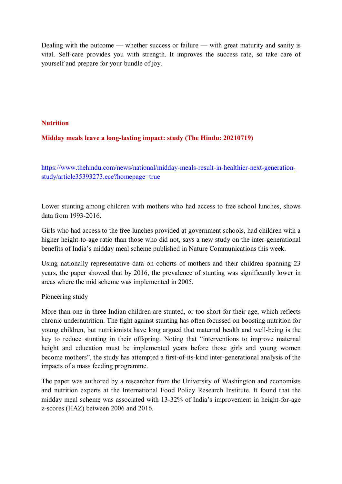Dealing with the outcome — whether success or failure — with great maturity and sanity is vital. Self-care provides you with strength. It improves the success rate, so take care of yourself and prepare for your bundle of joy.

#### **Nutrition**

#### **Midday meals leave a long-lasting impact: study (The Hindu: 20210719)**

https://www.thehindu.com/news/national/midday-meals-result-in-healthier-next-generationstudy/article35393273.ece?homepage=true

Lower stunting among children with mothers who had access to free school lunches, shows data from 1993-2016.

Girls who had access to the free lunches provided at government schools, had children with a higher height-to-age ratio than those who did not, says a new study on the inter-generational benefits of India's midday meal scheme published in Nature Communications this week.

Using nationally representative data on cohorts of mothers and their children spanning 23 years, the paper showed that by 2016, the prevalence of stunting was significantly lower in areas where the mid scheme was implemented in 2005.

Pioneering study

More than one in three Indian children are stunted, or too short for their age, which reflects chronic undernutrition. The fight against stunting has often focussed on boosting nutrition for young children, but nutritionists have long argued that maternal health and well-being is the key to reduce stunting in their offspring. Noting that "interventions to improve maternal height and education must be implemented years before those girls and young women become mothers", the study has attempted a first-of-its-kind inter-generational analysis of the impacts of a mass feeding programme.

The paper was authored by a researcher from the University of Washington and economists and nutrition experts at the International Food Policy Research Institute. It found that the midday meal scheme was associated with 13-32% of India's improvement in height-for-age z-scores (HAZ) between 2006 and 2016.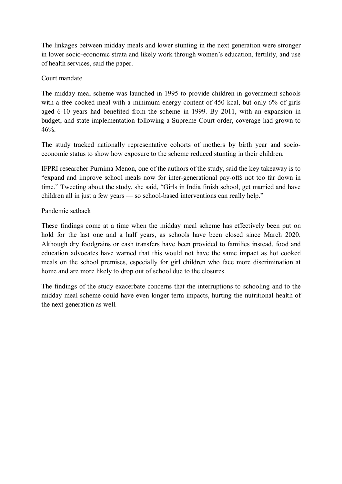The linkages between midday meals and lower stunting in the next generation were stronger in lower socio-economic strata and likely work through women's education, fertility, and use of health services, said the paper.

#### Court mandate

The midday meal scheme was launched in 1995 to provide children in government schools with a free cooked meal with a minimum energy content of 450 kcal, but only 6% of girls aged 6-10 years had benefited from the scheme in 1999. By 2011, with an expansion in budget, and state implementation following a Supreme Court order, coverage had grown to 46%.

The study tracked nationally representative cohorts of mothers by birth year and socioeconomic status to show how exposure to the scheme reduced stunting in their children.

IFPRI researcher Purnima Menon, one of the authors of the study, said the key takeaway is to "expand and improve school meals now for inter-generational pay-offs not too far down in time." Tweeting about the study, she said, "Girls in India finish school, get married and have children all in just a few years — so school-based interventions can really help."

#### Pandemic setback

These findings come at a time when the midday meal scheme has effectively been put on hold for the last one and a half years, as schools have been closed since March 2020. Although dry foodgrains or cash transfers have been provided to families instead, food and education advocates have warned that this would not have the same impact as hot cooked meals on the school premises, especially for girl children who face more discrimination at home and are more likely to drop out of school due to the closures.

The findings of the study exacerbate concerns that the interruptions to schooling and to the midday meal scheme could have even longer term impacts, hurting the nutritional health of the next generation as well.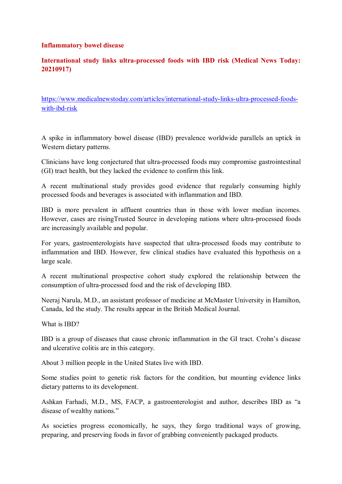#### **Inflammatory bowel disease**

#### **International study links ultra-processed foods with IBD risk (Medical News Today: 20210917)**

https://www.medicalnewstoday.com/articles/international-study-links-ultra-processed-foodswith-ibd-risk

A spike in inflammatory bowel disease (IBD) prevalence worldwide parallels an uptick in Western dietary patterns.

Clinicians have long conjectured that ultra-processed foods may compromise gastrointestinal (GI) tract health, but they lacked the evidence to confirm this link.

A recent multinational study provides good evidence that regularly consuming highly processed foods and beverages is associated with inflammation and IBD.

IBD is more prevalent in affluent countries than in those with lower median incomes. However, cases are risingTrusted Source in developing nations where ultra-processed foods are increasingly available and popular.

For years, gastroenterologists have suspected that ultra-processed foods may contribute to inflammation and IBD. However, few clinical studies have evaluated this hypothesis on a large scale.

A recent multinational prospective cohort study explored the relationship between the consumption of ultra-processed food and the risk of developing IBD.

Neeraj Narula, M.D., an assistant professor of medicine at McMaster University in Hamilton, Canada, led the study. The results appear in the British Medical Journal.

What is IBD?

IBD is a group of diseases that cause chronic inflammation in the GI tract. Crohn's disease and ulcerative colitis are in this category.

About 3 million people in the United States live with IBD.

Some studies point to genetic risk factors for the condition, but mounting evidence links dietary patterns to its development.

Ashkan Farhadi, M.D., MS, FACP, a gastroenterologist and author, describes IBD as "a disease of wealthy nations."

As societies progress economically, he says, they forgo traditional ways of growing, preparing, and preserving foods in favor of grabbing conveniently packaged products.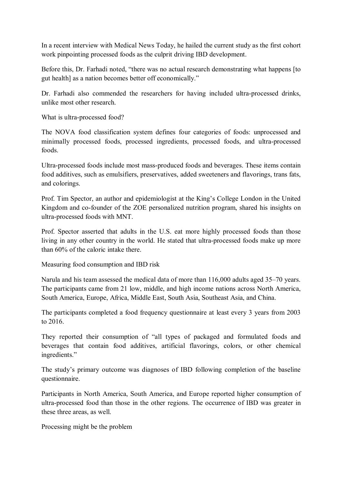In a recent interview with Medical News Today, he hailed the current study as the first cohort work pinpointing processed foods as the culprit driving IBD development.

Before this, Dr. Farhadi noted, "there was no actual research demonstrating what happens [to gut health] as a nation becomes better off economically."

Dr. Farhadi also commended the researchers for having included ultra-processed drinks, unlike most other research.

What is ultra-processed food?

The NOVA food classification system defines four categories of foods: unprocessed and minimally processed foods, processed ingredients, processed foods, and ultra-processed foods.

Ultra-processed foods include most mass-produced foods and beverages. These items contain food additives, such as emulsifiers, preservatives, added sweeteners and flavorings, trans fats, and colorings.

Prof. Tim Spector, an author and epidemiologist at the King's College London in the United Kingdom and co-founder of the ZOE personalized nutrition program, shared his insights on ultra-processed foods with MNT.

Prof. Spector asserted that adults in the U.S. eat more highly processed foods than those living in any other country in the world. He stated that ultra-processed foods make up more than 60% of the caloric intake there.

Measuring food consumption and IBD risk

Narula and his team assessed the medical data of more than 116,000 adults aged 35–70 years. The participants came from 21 low, middle, and high income nations across North America, South America, Europe, Africa, Middle East, South Asia, Southeast Asia, and China.

The participants completed a food frequency questionnaire at least every 3 years from 2003 to 2016.

They reported their consumption of "all types of packaged and formulated foods and beverages that contain food additives, artificial flavorings, colors, or other chemical ingredients."

The study's primary outcome was diagnoses of IBD following completion of the baseline questionnaire.

Participants in North America, South America, and Europe reported higher consumption of ultra-processed food than those in the other regions. The occurrence of IBD was greater in these three areas, as well.

Processing might be the problem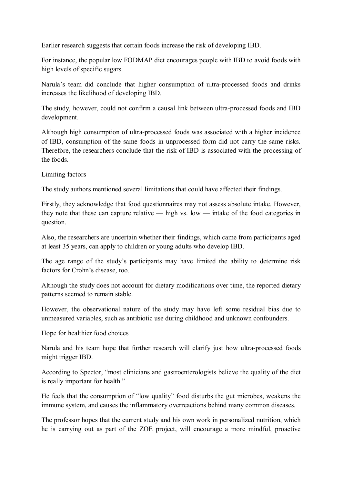Earlier research suggests that certain foods increase the risk of developing IBD.

For instance, the popular low FODMAP diet encourages people with IBD to avoid foods with high levels of specific sugars.

Narula's team did conclude that higher consumption of ultra-processed foods and drinks increases the likelihood of developing IBD.

The study, however, could not confirm a causal link between ultra-processed foods and IBD development.

Although high consumption of ultra-processed foods was associated with a higher incidence of IBD, consumption of the same foods in unprocessed form did not carry the same risks. Therefore, the researchers conclude that the risk of IBD is associated with the processing of the foods.

Limiting factors

The study authors mentioned several limitations that could have affected their findings.

Firstly, they acknowledge that food questionnaires may not assess absolute intake. However, they note that these can capture relative — high vs. low — intake of the food categories in question.

Also, the researchers are uncertain whether their findings, which came from participants aged at least 35 years, can apply to children or young adults who develop IBD.

The age range of the study's participants may have limited the ability to determine risk factors for Crohn's disease, too.

Although the study does not account for dietary modifications over time, the reported dietary patterns seemed to remain stable.

However, the observational nature of the study may have left some residual bias due to unmeasured variables, such as antibiotic use during childhood and unknown confounders.

Hope for healthier food choices

Narula and his team hope that further research will clarify just how ultra-processed foods might trigger IBD.

According to Spector, "most clinicians and gastroenterologists believe the quality of the diet is really important for health."

He feels that the consumption of "low quality" food disturbs the gut microbes, weakens the immune system, and causes the inflammatory overreactions behind many common diseases.

The professor hopes that the current study and his own work in personalized nutrition, which he is carrying out as part of the ZOE project, will encourage a more mindful, proactive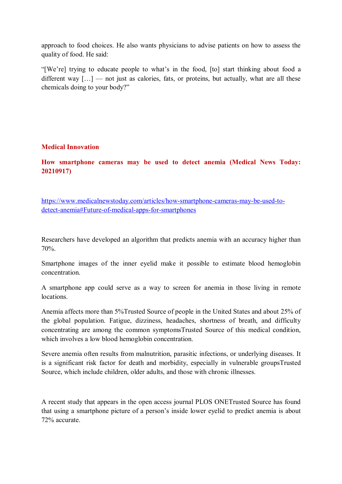approach to food choices. He also wants physicians to advise patients on how to assess the quality of food. He said:

"[We're] trying to educate people to what's in the food, [to] start thinking about food a different way  $[...]$  — not just as calories, fats, or proteins, but actually, what are all these chemicals doing to your body?"

#### **Medical Innovation**

**How smartphone cameras may be used to detect anemia (Medical News Today: 20210917)** 

https://www.medicalnewstoday.com/articles/how-smartphone-cameras-may-be-used-todetect-anemia#Future-of-medical-apps-for-smartphones

Researchers have developed an algorithm that predicts anemia with an accuracy higher than 70%.

Smartphone images of the inner eyelid make it possible to estimate blood hemoglobin concentration.

A smartphone app could serve as a way to screen for anemia in those living in remote locations.

Anemia affects more than 5%Trusted Source of people in the United States and about 25% of the global population. Fatigue, dizziness, headaches, shortness of breath, and difficulty concentrating are among the common symptomsTrusted Source of this medical condition, which involves a low blood hemoglobin concentration.

Severe anemia often results from malnutrition, parasitic infections, or underlying diseases. It is a significant risk factor for death and morbidity, especially in vulnerable groupsTrusted Source, which include children, older adults, and those with chronic illnesses.

A recent study that appears in the open access journal PLOS ONETrusted Source has found that using a smartphone picture of a person's inside lower eyelid to predict anemia is about 72% accurate.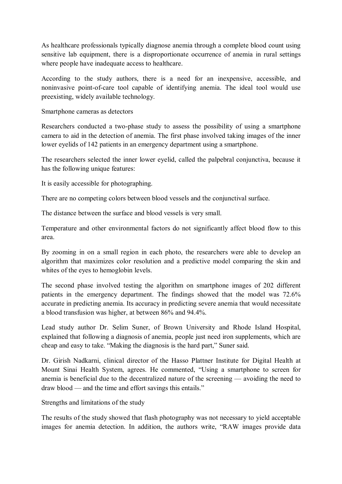As healthcare professionals typically diagnose anemia through a complete blood count using sensitive lab equipment, there is a disproportionate occurrence of anemia in rural settings where people have inadequate access to healthcare.

According to the study authors, there is a need for an inexpensive, accessible, and noninvasive point-of-care tool capable of identifying anemia. The ideal tool would use preexisting, widely available technology.

Smartphone cameras as detectors

Researchers conducted a two-phase study to assess the possibility of using a smartphone camera to aid in the detection of anemia. The first phase involved taking images of the inner lower eyelids of 142 patients in an emergency department using a smartphone.

The researchers selected the inner lower eyelid, called the palpebral conjunctiva, because it has the following unique features:

It is easily accessible for photographing.

There are no competing colors between blood vessels and the conjunctival surface.

The distance between the surface and blood vessels is very small.

Temperature and other environmental factors do not significantly affect blood flow to this area.

By zooming in on a small region in each photo, the researchers were able to develop an algorithm that maximizes color resolution and a predictive model comparing the skin and whites of the eyes to hemoglobin levels.

The second phase involved testing the algorithm on smartphone images of 202 different patients in the emergency department. The findings showed that the model was 72.6% accurate in predicting anemia. Its accuracy in predicting severe anemia that would necessitate a blood transfusion was higher, at between 86% and 94.4%.

Lead study author Dr. Selim Suner, of Brown University and Rhode Island Hospital, explained that following a diagnosis of anemia, people just need iron supplements, which are cheap and easy to take. "Making the diagnosis is the hard part," Suner said.

Dr. Girish Nadkarni, clinical director of the Hasso Plattner Institute for Digital Health at Mount Sinai Health System, agrees. He commented, "Using a smartphone to screen for anemia is beneficial due to the decentralized nature of the screening — avoiding the need to draw blood — and the time and effort savings this entails."

Strengths and limitations of the study

The results of the study showed that flash photography was not necessary to yield acceptable images for anemia detection. In addition, the authors write, "RAW images provide data